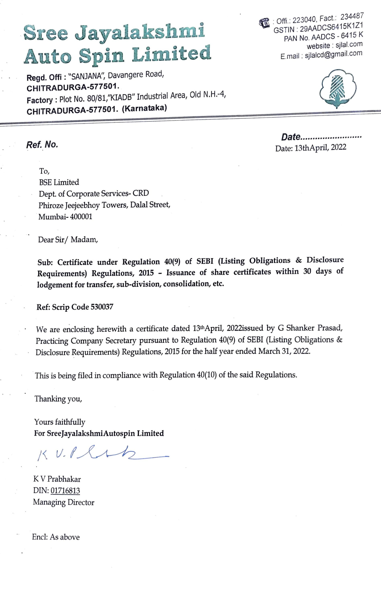## Sree Jayalakshmi **Auto Spin Limited**

Regd. Offi: "SANJANA", Davangere Road, CHITRADURGA-577501. Factory: Plot No. 80/81,"KIADB" Industrial Area, Old N.H.-4, CHITRADURGA-577501. (Karnataka)

: Offi.: 223040, Fact.: 234487 GSTIN: 29AADCS6415K1Z1 PAN No. AADCS - 6415 K website : sjlal.com E.mail: sjlalcd@gmail.com



Date......................... Date: 13thApril, 2022

To. **BSE** Limited Dept. of Corporate Services-CRD Phiroze Jeejeebhoy Towers, Dalal Street, Mumbai-400001

Dear Sir/Madam,

Ref. No.

Sub: Certificate under Regulation 40(9) of SEBI (Listing Obligations & Disclosure Requirements) Regulations, 2015 - Issuance of share certificates within 30 days of lodgement for transfer, sub-division, consolidation, etc.

Ref: Scrip Code 530037

We are enclosing herewith a certificate dated 13thApril, 2022issued by G Shanker Prasad, Practicing Company Secretary pursuant to Regulation 40(9) of SEBI (Listing Obligations & Disclosure Requirements) Regulations, 2015 for the half year ended March 31, 2022.

This is being filed in compliance with Regulation 40(10) of the said Regulations.

Thanking you,

Yours faithfully For SreeJayalakshmiAutospin Limited

 $KVI·l$ 

K V Prabhakar DIN: 01716813 Managing Director

Encl: As above